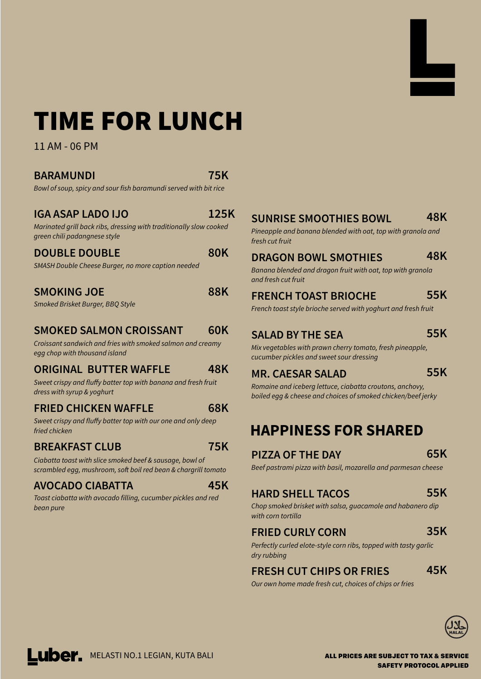# TIME FOR LUNCH

11 AM - 06 PM

## **BARAMUNDI**

**75K** 

125K

Bowl of soup, spicy and sour fish baramundi served with bit rice

# **IGA ASAP LADO IJO**

#### Marinated grill back ribs, dressing with traditionally slow cooked green chili padangnese style

### **DOUBLE DOUBLE**

**80K** 

**88K** 

**48K** 

**68K** 

**SMASH Double Cheese Burger, no more caption needed** 

# **SMOKING JOE**

**Smoked Brisket Burger, BBQ Style** 

#### **SMOKED SALMON CROISSANT 60K**

**Croissant sandwich and fries with smoked salmon and creamy** egg chop with thousand island

# **ORIGINAL BUTTER WAFFLE**

Sweet crispy and fluffy batter top with banana and fresh fruit dress with syrup & yoghurt

# **FRIED CHICKEN WAFFLE**

Sweet crispy and fluffy batter top with our one and only deep fried chicken

# **BREAKFAST CLUB**

Ciabatta toast with slice smoked beef & sausage, bowl of scrambled egg, mushroom, soft boil red bean & chargrill tomato

# **AVOCADO CIABATTA**

Toast ciabatta with avocado filling, cucumber pickles and red *bean pure* 

#### **SUNRISE SMOOTHIES BOWL 48K**

Pineapple and banana blended with oat, top with granola and fresh cut fruit

# DRAGON BOWL SMOTHIES

### 48K

Banana blended and dragon fruit with oat, top with granola and fresh cut fruit



#### **FRENCH TOAST BRIOCHE** 55K

French toast style brioche served with yoghurt and fresh fruit

# **SALAD BY THE SEA**

55K

Mix vegetables with prawn cherry tomato, fresh pineapple, cucumber pickles and sweet sour dressing

# **MR. CAESAR SALAD**

**55K** 

Romaine and iceberg lettuce, ciabatta croutons, anchovy, **boiled eqq & cheese and choices of smoked chicken/beef jerky** 

# **HAPPINESS FOR SHARED**

# PIZZA OF THE DAY

65K

Beef pastrami pizza with basil, mozarella and parmesan cheese

#### **HARD SHELL TACOS** 55K

Chop smoked brisket with salsa, guacamole and habanero dip

**75K** 

45K

*with corn tortilla* 

### **FRIED CURLY CORN**

35K

Perfectly curled elote-style corn ribs, topped with tasty garlic dry rubbing

#### **FRESH CUT CHIPS OR FRIES** 45K

Our own home made fresh cut, choices of chips or fries



SAFETY PROTOCOL APPLIED ALL PRICES ARE SUBJECT TO TAX & SERVICE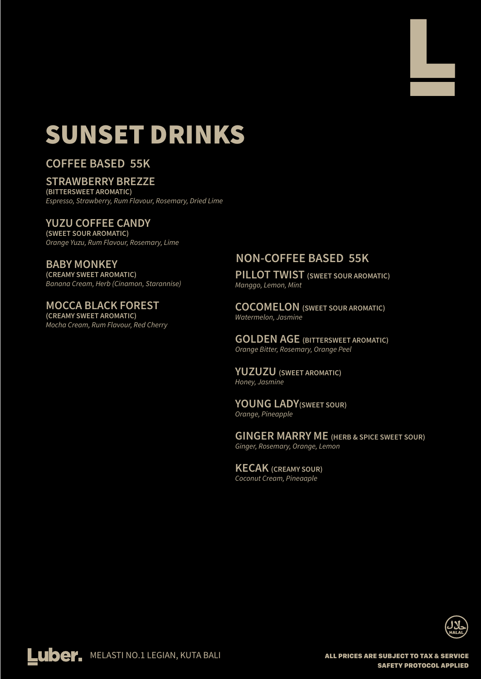# SUNSET DRINKS

# **COFFEE BASED 55K**

## **STRAWBERRY BREZZE**

(BITTERSWEET AROMATIC) Espresso, Strawberry, Rum Flavour, Rosemary, Dried Lime

### **YUZU COFFEE CANDY**

(SWEET SOUR AROMATIC) Orange Yuzu, Rum Flavour, Rosemary, Lime

**BABY MONKEY** (CREAMY SWEET AROMATIC) Banana Cream, Herb (Cinamon, Starannise)

# **MOCCA BLACK FOREST**

(CREAMY SWEET AROMATIC) Mocha Cream, Rum Flavour, Red Cherry

# **NON-COFFEE BASED 55K**

PILLOT TWIST (SWEET SOUR AROMATIC) **Manggo, Lemon, Mint** 

**COCOMELON** (SWEET SOUR AROMATIC) **Watermelon, Jasmine** 

**GOLDEN AGE (BITTERSWEET AROMATIC)** Orange Bitter, Rosemary, Orange Peel

**YUZUZU** (SWEET AROMATIC) Honey, Jasmine

SAFETY PROTOCOL APPLIED

**YOUNG LADY (SWEET SOUR) Orange, Pineapple** 

**GINGER MARRY ME (HERB & SPICE SWEET SOUR)** Ginger, Rosemary, Orange, Lemon

**KECAK** (CREAMY SOUR) **Coconut Cream, Pineaaple**